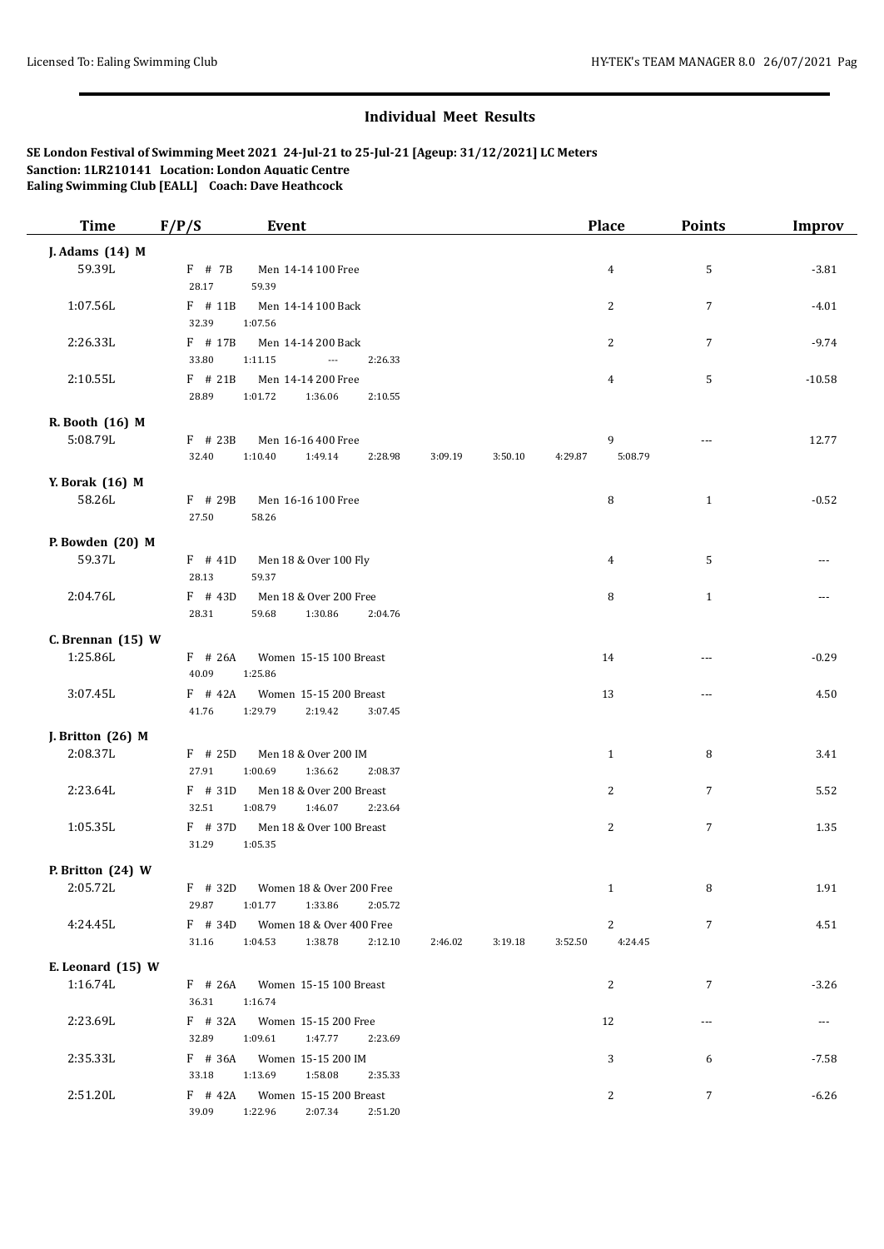## **Individual Meet Results**

## **SE London Festival of Swimming Meet 2021 24-Jul-21 to 25-Jul-21 [Ageup: 31/12/2021] LC Meters Sanction: 1LR210141 Location: London Aquatic Centre Ealing Swimming Club [EALL] Coach: Dave Heathcock**

| <b>Time</b>       | F/P/S              | <b>Event</b>                                              |         |         | <b>Place</b>            | <b>Points</b>  | <b>Improv</b> |
|-------------------|--------------------|-----------------------------------------------------------|---------|---------|-------------------------|----------------|---------------|
| J. Adams (14) M   |                    |                                                           |         |         |                         |                |               |
| 59.39L            | $F$ # 7B           | Men 14-14 100 Free                                        |         |         | $\overline{4}$          | 5              | $-3.81$       |
|                   | 28.17              | 59.39                                                     |         |         |                         |                |               |
| 1:07.56L          | $F$ # 11B          | Men 14-14 100 Back                                        |         |         | 2                       | 7              | $-4.01$       |
|                   | 32.39              | 1:07.56                                                   |         |         |                         |                |               |
| 2:26.33L          | $F$ # 17B          | Men 14-14 200 Back                                        |         |         | $\overline{c}$          | $\overline{7}$ | $-9.74$       |
|                   | 33.80              | 1:11.15<br>$\overline{\phantom{a}}$<br>2:26.33            |         |         |                         |                |               |
| 2:10.55L          | $F$ # 21B          | Men 14-14 200 Free                                        |         |         | $\overline{4}$          | 5              | $-10.58$      |
|                   | 28.89              | 1:01.72<br>1:36.06<br>2:10.55                             |         |         |                         |                |               |
| R. Booth (16) M   |                    |                                                           |         |         |                         |                |               |
| 5:08.79L          | $F$ # 23B          | Men 16-16 400 Free                                        |         |         | 9                       |                | 12.77         |
|                   | 32.40              | 1:10.40<br>1:49.14<br>2:28.98                             | 3:09.19 | 3:50.10 | 5:08.79<br>4:29.87      |                |               |
| Y. Borak (16) M   |                    |                                                           |         |         |                         |                |               |
| 58.26L            | F # 29B            | Men 16-16 100 Free                                        |         |         | 8                       | $\mathbf{1}$   | $-0.52$       |
|                   | 27.50              | 58.26                                                     |         |         |                         |                |               |
| P. Bowden (20) M  |                    |                                                           |         |         |                         |                |               |
| 59.37L            | $F$ # 41D          | Men 18 & Over 100 Fly                                     |         |         | 4                       | 5              |               |
|                   | 28.13              | 59.37                                                     |         |         |                         |                |               |
| 2:04.76L          | $F$ # 43D          | Men 18 & Over 200 Free                                    |         |         | 8                       | $\mathbf{1}$   |               |
|                   | 28.31              | 59.68<br>1:30.86<br>2:04.76                               |         |         |                         |                |               |
| C. Brennan (15) W |                    |                                                           |         |         |                         |                |               |
| 1:25.86L          | $F$ # 26A          | Women 15-15 100 Breast                                    |         |         | 14                      | ---            | $-0.29$       |
|                   | 40.09              | 1:25.86                                                   |         |         |                         |                |               |
| 3:07.45L          | $F$ # 42A          | Women 15-15 200 Breast                                    |         |         | 13                      | $\overline{a}$ | 4.50          |
|                   | 41.76              | 1:29.79<br>2:19.42<br>3:07.45                             |         |         |                         |                |               |
| J. Britton (26) M |                    |                                                           |         |         |                         |                |               |
| 2:08.37L          | $F$ # 25D          | Men 18 & Over 200 IM                                      |         |         | $\mathbf{1}$            | 8              | 3.41          |
|                   | 27.91              | 1:00.69<br>1:36.62<br>2:08.37                             |         |         |                         |                |               |
| 2:23.64L          | F # 31D            | Men 18 & Over 200 Breast                                  |         |         | 2                       | 7              | 5.52          |
|                   | 32.51              | 1:08.79<br>1:46.07<br>2:23.64                             |         |         |                         |                |               |
| 1:05.35L          | $F$ # 37D          | Men 18 & Over 100 Breast                                  |         |         | $\overline{c}$          | 7              | 1.35          |
|                   | 31.29              | 1:05.35                                                   |         |         |                         |                |               |
| P. Britton (24) W |                    |                                                           |         |         |                         |                |               |
| 2:05.72L          | $F$ # 32D          | Women 18 & Over 200 Free                                  |         |         | 1                       | 8              | 1.91          |
|                   | 29.87              | 1:01.77<br>1:33.86<br>2:05.72                             |         |         |                         |                |               |
| 4:24.45L          | $F$ # 34D<br>31.16 | Women 18 & Over 400 Free<br>1:04.53<br>1:38.78<br>2:12.10 | 2:46.02 | 3:19.18 | 2<br>3:52.50<br>4:24.45 | 7              | 4.51          |
|                   |                    |                                                           |         |         |                         |                |               |
| E. Leonard (15) W |                    |                                                           |         |         |                         |                |               |
| 1:16.74L          | $F$ # 26A          | Women 15-15 100 Breast                                    |         |         | 2                       | 7              | $-3.26$       |
| 2:23.69L          | 36.31              | 1:16.74                                                   |         |         |                         |                |               |
|                   | $F$ # 32A<br>32.89 | Women 15-15 200 Free<br>1:09.61<br>1:47.77<br>2:23.69     |         |         | 12                      | $\cdots$       | ---           |
| 2:35.33L          | F # 36A            | Women 15-15 200 IM                                        |         |         | 3                       | 6              | $-7.58$       |
|                   | 33.18              | 1:13.69<br>1:58.08<br>2:35.33                             |         |         |                         |                |               |
| 2:51.20L          | $F$ # 42A          | Women 15-15 200 Breast                                    |         |         | 2                       | 7              | $-6.26$       |
|                   | 39.09              | 1:22.96<br>2:07.34<br>2:51.20                             |         |         |                         |                |               |